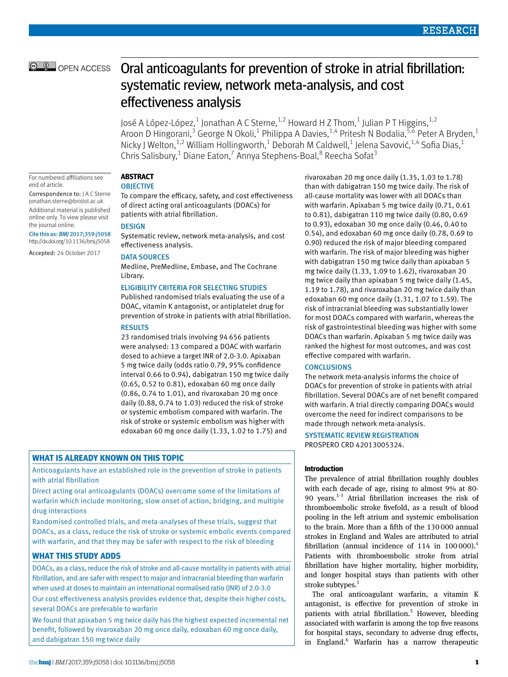# © © OPEN ACCESS

# Oral anticoagulants for prevention of stroke in atrial fibrillation: systematic review, network meta-analysis, and cost effectiveness analysis

José A López-López, $^1$  Jonathan A C Sterne, $^{1,2}$  Howard H Z Thom, $^1$  Julian P T Higgins, $^{1,2}$ Aroon D Hingorani,<sup>3</sup> George N Okoli,<sup>1</sup> Philippa A Davies,<sup>1,4</sup> Pritesh N Bodalia,<sup>5,6</sup> Peter A Bryden,<sup>1</sup> Nicky J Welton,<sup>1,2</sup> William Hollingworth,<sup>1</sup> Deborah M Caldwell,<sup>1</sup> Jelena Savović,<sup>1,4</sup> Sofia Dias,<sup>1</sup> Chris Salisbury,<sup>1</sup> Diane Eaton,<sup>7</sup> Annya Stephens-Boal,<sup>8</sup> Reecha Sofat<sup>3</sup>

For numbered affiliations see end of article.

Correspondence to: J A C Sterne [jonathan.sterne@bristol.ac.uk](mailto:jonathan.sterne@bristol.ac.uk) Additional material is published online only. To view please visit the journal online.

Cite this as: *BMJ* 2017;359:j5058 http://dx.doi.org/10.1136/bmj.j5058

Accepted: 24 October 2017

# **ABSTRACT**

#### **OBJECTIVE**

To compare the efficacy, safety, and cost effectiveness of direct acting oral anticoagulants (DOACs) for patients with atrial fibrillation.

## **DESIGN**

Systematic review, network meta-analysis, and cost effectiveness analysis.

#### DATA SOURCES

Medline, PreMedline, Embase, and The Cochrane Library.

#### ELIGIBILITY CRITERIA FOR SELECTING STUDIES

Published randomised trials evaluating the use of a DOAC, vitamin K antagonist, or antiplatelet drug for prevention of stroke in patients with atrial fibrillation.

#### RESULTS

23 randomised trials involving 94 656 patients were analysed: 13 compared a DOAC with warfarin dosed to achieve a target INR of 2.0-3.0. Apixaban 5 mg twice daily (odds ratio 0.79, 95% confidence interval 0.66 to 0.94), dabigatran 150 mg twice daily (0.65, 0.52 to 0.81), edoxaban 60 mg once daily (0.86, 0.74 to 1.01), and rivaroxaban 20 mg once daily (0.88, 0.74 to 1.03) reduced the risk of stroke or systemic embolism compared with warfarin. The risk of stroke or systemic embolism was higher with edoxaban 60 mg once daily (1.33, 1.02 to 1.75) and

#### **What is already known on this topic**

Anticoagulants have an established role in the prevention of stroke in patients with atrial fibrillation

Direct acting oral anticoagulants (DOACs) overcome some of the limitations of warfarin which include monitoring, slow onset of action, bridging, and multiple drug interactions

Randomised controlled trials, and meta-analyses of these trials, suggest that DOACs, as a class, reduce the risk of stroke or systemic embolic events compared with warfarin, and that they may be safer with respect to the risk of bleeding

# **What this study adds**

DOACs, as a class, reduce the risk of stroke and all-cause mortality in patients with atrial fibrillation, and are safer with respect to major and intracranial bleeding than warfarin when used at doses to maintain an international normalised ratio (INR) of 2.0-3.0

Our cost effectiveness analysis provides evidence that, despite their higher costs, several DOACs are preferable to warfarin

We found that apixaban 5 mg twice daily has the highest expected incremental net benefit, followed by rivaroxaban 20 mg once daily, edoxaban 60 mg once daily, and dabigatran 150 mg twice daily

rivaroxaban 20 mg once daily (1.35, 1.03 to 1.78) than with dabigatran 150 mg twice daily. The risk of all-cause mortality was lower with all DOACs than with warfarin. Apixaban 5 mg twice daily (0.71, 0.61 to 0.81), dabigatran 110 mg twice daily (0.80, 0.69 to 0.93), edoxaban 30 mg once daily (0.46, 0.40 to 0.54), and edoxaban 60 mg once daily (0.78, 0.69 to 0.90) reduced the risk of major bleeding compared with warfarin. The risk of major bleeding was higher with dabigatran 150 mg twice daily than apixaban 5 mg twice daily (1.33, 1.09 to 1.62), rivaroxaban 20 mg twice daily than apixaban 5 mg twice daily (1.45, 1.19 to 1.78), and rivaroxaban 20 mg twice daily than edoxaban 60 mg once daily (1.31, 1.07 to 1.59). The risk of intracranial bleeding was substantially lower for most DOACs compared with warfarin, whereas the risk of gastrointestinal bleeding was higher with some DOACs than warfarin. Apixaban 5 mg twice daily was ranked the highest for most outcomes, and was cost effective compared with warfarin.

#### **CONCLUSIONS**

The network meta-analysis informs the choice of DOACs for prevention of stroke in patients with atrial fibrillation. Several DOACs are of net benefit compared with warfarin. A trial directly comparing DOACs would overcome the need for indirect comparisons to be made through network meta-analysis.

#### SYSTEMATIC REVIEW REGISTRATION

PROSPERO CRD 42013005324.

#### **Introduction**

The prevalence of atrial fibrillation roughly doubles with each decade of age, rising to almost 9% at 80- 90 years. $1-3$  Atrial fibrillation increases the risk of thromboembolic stroke fivefold, as a result of blood pooling in the left atrium and systemic embolisation to the brain. More than a fifth of the 130 000 annual strokes in England and Wales are attributed to atrial fibrillation (annual incidence of 114 in 100 000).<sup>4</sup> Patients with thromboembolic stroke from atrial fibrillation have higher mortality, higher morbidity, and longer hospital stays than patients with other stroke subtypes.

The oral anticoagulant warfarin, a vitamin K antagonist, is effective for prevention of stroke in patients with atrial fibrillation.<sup>5</sup> However, bleeding associated with warfarin is among the top five reasons for hospital stays, secondary to adverse drug effects, in England.<sup>6</sup> Warfarin has a narrow therapeutic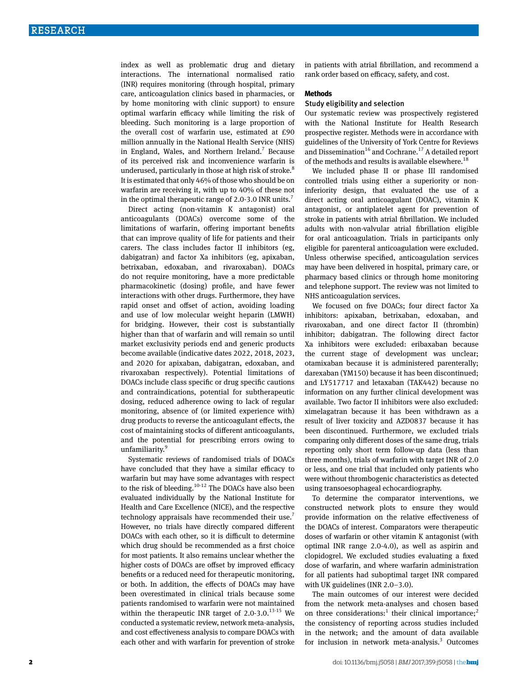index as well as problematic drug and dietary interactions. The international normalised ratio (INR) requires monitoring (through hospital, primary care, anticoagulation clinics based in pharmacies, or by home monitoring with clinic support) to ensure optimal warfarin efficacy while limiting the risk of bleeding. Such monitoring is a large proportion of the overall cost of warfarin use, estimated at £90 million annually in the National Health Service (NHS) in England, Wales, and Northern Ireland.<sup>7</sup> Because of its perceived risk and inconvenience warfarin is underused, particularly in those at high risk of stroke.<sup>8</sup> It is estimated that only 46% of those who should be on warfarin are receiving it, with up to 40% of these not in the optimal therapeutic range of 2.0-3.0 INR units.<sup>7</sup>

Direct acting (non-vitamin K antagonist) oral anticoagulants (DOACs) overcome some of the limitations of warfarin, offering important benefits that can improve quality of life for patients and their carers. The class includes factor II inhibitors (eg, dabigatran) and factor Xa inhibitors (eg, apixaban, betrixaban, edoxaban, and rivaroxaban). DOACs do not require monitoring, have a more predictable pharmacokinetic (dosing) profile, and have fewer interactions with other drugs. Furthermore, they have rapid onset and offset of action, avoiding loading and use of low molecular weight heparin (LMWH) for bridging. However, their cost is substantially higher than that of warfarin and will remain so until market exclusivity periods end and generic products become available (indicative dates 2022, 2018, 2023, and 2020 for apixaban, dabigatran, edoxaban, and rivaroxaban respectively). Potential limitations of DOACs include class specific or drug specific cautions and contraindications, potential for subtherapeutic dosing, reduced adherence owing to lack of regular monitoring, absence of (or limited experience with) drug products to reverse the anticoagulant effects, the cost of maintaining stocks of different anticoagulants, and the potential for prescribing errors owing to unfamiliarity.<sup>9</sup>

Systematic reviews of randomised trials of DOACs have concluded that they have a similar efficacy to warfarin but may have some advantages with respect to the risk of bleeding.<sup>10-12</sup> The DOACs have also been evaluated individually by the National Institute for Health and Care Excellence (NICE), and the respective technology appraisals have recommended their use.<sup>7</sup> However, no trials have directly compared different DOACs with each other, so it is difficult to determine which drug should be recommended as a first choice for most patients. It also remains unclear whether the higher costs of DOACs are offset by improved efficacy benefits or a reduced need for therapeutic monitoring, or both. In addition, the effects of DOACs may have been overestimated in clinical trials because some patients randomised to warfarin were not maintained within the therapeutic INR target of  $2.0$ -3.0.<sup>13-15</sup> We conducted a systematic review, network meta-analysis, and cost effectiveness analysis to compare DOACs with each other and with warfarin for prevention of stroke in patients with atrial fibrillation, and recommend a rank order based on efficacy, safety, and cost.

#### **Methods**

#### Study eligibility and selection

Our systematic review was prospectively registered with the National Institute for Health Research prospective register. Methods were in accordance with guidelines of the University of York Centre for Reviews and Dissemination<sup>16</sup> and Cochrane.<sup>17</sup> A detailed report of the methods and results is available elsewhere.<sup>1</sup>

We included phase II or phase III randomised controlled trials using either a superiority or noninferiority design, that evaluated the use of a direct acting oral anticoagulant (DOAC), vitamin K antagonist, or antiplatelet agent for prevention of stroke in patients with atrial fibrillation. We included adults with non-valvular atrial fibrillation eligible for oral anticoagulation. Trials in participants only eligible for parenteral anticoagulation were excluded. Unless otherwise specified, anticoagulation services may have been delivered in hospital, primary care, or pharmacy based clinics or through home monitoring and telephone support. The review was not limited to NHS anticoagulation services.

We focused on five DOACs; four direct factor Xa inhibitors: apixaban, betrixaban, edoxaban, and rivaroxaban, and one direct factor II (thrombin) inhibitor; dabigatran. The following direct factor Xa inhibitors were excluded: eribaxaban because the current stage of development was unclear; otamixaban because it is administered parenterally; darexaban (YM150) because it has been discontinued; and LY517717 and letaxaban (TAK442) because no information on any further clinical development was available. Two factor II inhibitors were also excluded: ximelagatran because it has been withdrawn as a result of liver toxicity and AZD0837 because it has been discontinued. Furthermore, we excluded trials comparing only different doses of the same drug, trials reporting only short term follow-up data (less than three months), trials of warfarin with target INR of 2.0 or less, and one trial that included only patients who were without thrombogenic characteristics as detected using transoesophageal echocardiography.

To determine the comparator interventions, we constructed network plots to ensure they would provide information on the relative effectiveness of the DOACs of interest. Comparators were therapeutic doses of warfarin or other vitamin K antagonist (with optimal INR range 2.0-4.0), as well as aspirin and clopidogrel. We excluded studies evaluating a fixed dose of warfarin, and where warfarin administration for all patients had suboptimal target INR compared with UK guidelines (INR 2.0–3.0).

The main outcomes of our interest were decided from the network meta-analyses and chosen based on three considerations:<sup>1</sup> their clinical importance;<sup>2</sup> the consistency of reporting across studies included in the network; and the amount of data available for inclusion in network meta-analysis. $3$  Outcomes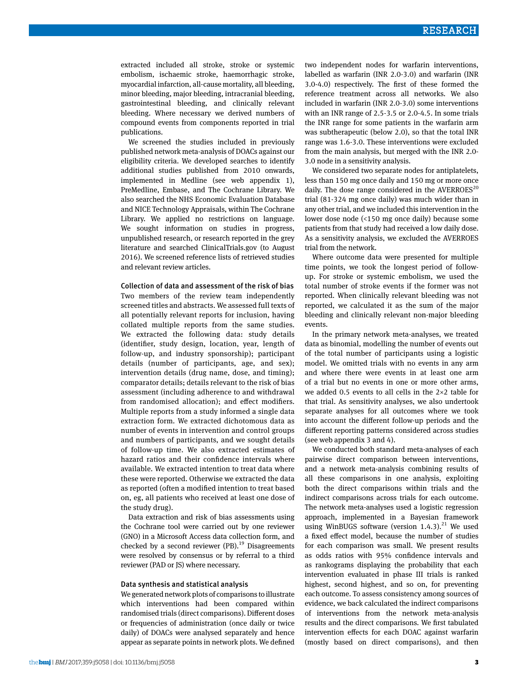extracted included all stroke, stroke or systemic embolism, ischaemic stroke, haemorrhagic stroke, myocardial infarction, all-cause mortality, all bleeding, minor bleeding, major bleeding, intracranial bleeding, gastrointestinal bleeding, and clinically relevant bleeding. Where necessary we derived numbers of compound events from components reported in trial publications.

We screened the studies included in previously published network meta-analysis of DOACs against our eligibility criteria. We developed searches to identify additional studies published from 2010 onwards, implemented in Medline (see web appendix 1), PreMedline, Embase, and The Cochrane Library. We also searched the NHS Economic Evaluation Database and NICE Technology Appraisals, within The Cochrane Library. We applied no restrictions on language. We sought information on studies in progress, unpublished research, or research reported in the grey literature and searched ClinicalTrials.gov (to August 2016). We screened reference lists of retrieved studies and relevant review articles.

#### Collection of data and assessment of the risk of bias

Two members of the review team independently screened titles and abstracts. We assessed full texts of all potentially relevant reports for inclusion, having collated multiple reports from the same studies. We extracted the following data: study details (identifier, study design, location, year, length of follow-up, and industry sponsorship); participant details (number of participants, age, and sex); intervention details (drug name, dose, and timing); comparator details; details relevant to the risk of bias assessment (including adherence to and withdrawal from randomised allocation); and effect modifiers. Multiple reports from a study informed a single data extraction form. We extracted dichotomous data as number of events in intervention and control groups and numbers of participants, and we sought details of follow-up time. We also extracted estimates of hazard ratios and their confidence intervals where available. We extracted intention to treat data where these were reported. Otherwise we extracted the data as reported (often a modified intention to treat based on, eg, all patients who received at least one dose of the study drug).

Data extraction and risk of bias assessments using the Cochrane tool were carried out by one reviewer (GNO) in a Microsoft Access data collection form, and checked by a second reviewer  $(PB)$ .<sup>19</sup> Disagreements were resolved by consensus or by referral to a third reviewer (PAD or JS) where necessary.

#### Data synthesis and statistical analysis

We generated network plots of comparisons to illustrate which interventions had been compared within randomised trials (direct comparisons). Different doses or frequencies of administration (once daily or twice daily) of DOACs were analysed separately and hence appear as separate points in network plots. We defined

two independent nodes for warfarin interventions, labelled as warfarin (INR 2.0-3.0) and warfarin (INR 3.0-4.0) respectively. The first of these formed the reference treatment across all networks. We also included in warfarin (INR 2.0-3.0) some interventions with an INR range of 2.5-3.5 or 2.0-4.5. In some trials the INR range for some patients in the warfarin arm was subtherapeutic (below 2.0), so that the total INR range was 1.6-3.0. These interventions were excluded from the main analysis, but merged with the INR 2.0- 3.0 node in a sensitivity analysis.

We considered two separate nodes for antiplatelets, less than 150 mg once daily and 150 mg or more once daily. The dose range considered in the AVERROES<sup>20</sup> trial (81-324 mg once daily) was much wider than in any other trial, and we included this intervention in the lower dose node (<150 mg once daily) because some patients from that study had received a low daily dose. As a sensitivity analysis, we excluded the AVERROES trial from the network.

Where outcome data were presented for multiple time points, we took the longest period of followup. For stroke or systemic embolism, we used the total number of stroke events if the former was not reported. When clinically relevant bleeding was not reported, we calculated it as the sum of the major bleeding and clinically relevant non-major bleeding events.

In the primary network meta-analyses, we treated data as binomial, modelling the number of events out of the total number of participants using a logistic model. We omitted trials with no events in any arm and where there were events in at least one arm of a trial but no events in one or more other arms, we added 0.5 events to all cells in the 2×2 table for that trial. As sensitivity analyses, we also undertook separate analyses for all outcomes where we took into account the different follow-up periods and the different reporting patterns considered across studies (see web appendix 3 and 4).

We conducted both standard meta-analyses of each pairwise direct comparison between interventions, and a network meta-analysis combining results of all these comparisons in one analysis, exploiting both the direct comparisons within trials and the indirect comparisons across trials for each outcome. The network meta-analyses used a logistic regression approach, implemented in a Bayesian framework using WinBUGS software (version  $1.4.3$ ).<sup>21</sup> We used a fixed effect model, because the number of studies for each comparison was small. We present results as odds ratios with 95% confidence intervals and as rankograms displaying the probability that each intervention evaluated in phase III trials is ranked highest, second highest, and so on, for preventing each outcome. To assess consistency among sources of evidence, we back calculated the indirect comparisons of interventions from the network meta-analysis results and the direct comparisons. We first tabulated intervention effects for each DOAC against warfarin (mostly based on direct comparisons), and then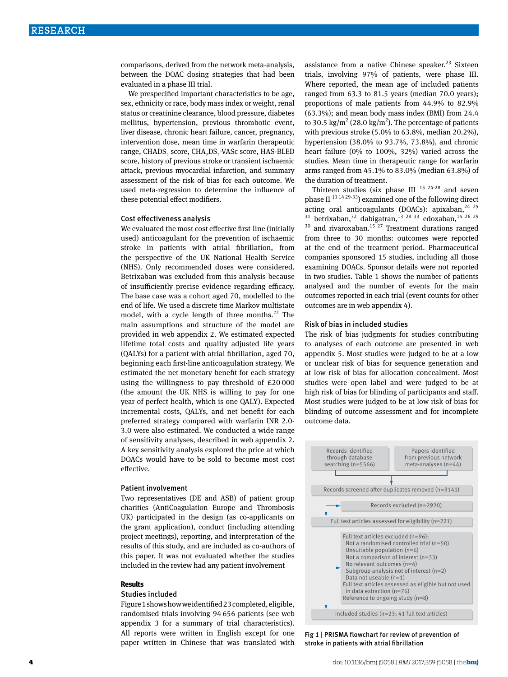comparisons, derived from the network meta-analysis, between the DOAC dosing strategies that had been evaluated in a phase III trial.

We prespecified important characteristics to be age, sex, ethnicity or race, body mass index or weight, renal status or creatinine clearance, blood pressure, diabetes mellitus, hypertension, previous thrombotic event, liver disease, chronic heart failure, cancer, pregnancy, intervention dose, mean time in warfarin therapeutic range, CHADS<sub>2</sub> score, CHA<sub>2</sub>DS<sub>2</sub>-VASc score, HAS-BLED score, history of previous stroke or transient ischaemic attack, previous myocardial infarction, and summary assessment of the risk of bias for each outcome. We used meta-regression to determine the influence of these potential effect modifiers.

#### Cost effectiveness analysis

We evaluated the most cost effective first-line (initially used) anticoagulant for the prevention of ischaemic stroke in patients with atrial fibrillation, from the perspective of the UK National Health Service (NHS). Only recommended doses were considered. Betrixaban was excluded from this analysis because of insufficiently precise evidence regarding efficacy. The base case was a cohort aged 70, modelled to the end of life. We used a discrete time Markov multistate model, with a cycle length of three months.<sup>22</sup> The main assumptions and structure of the model are provided in web appendix 2. We estimated expected lifetime total costs and quality adjusted life years (QALYs) for a patient with atrial fibrillation, aged 70, beginning each first-line anticoagulation strategy. We estimated the net monetary benefit for each strategy using the willingness to pay threshold of £20 000 (the amount the UK NHS is willing to pay for one year of perfect health, which is one QALY). Expected incremental costs, QALYs, and net benefit for each preferred strategy compared with warfarin INR 2.0- 3.0 were also estimated. We conducted a wide range of sensitivity analyses, described in web appendix 2. A key sensitivity analysis explored the price at which DOACs would have to be sold to become most cost effective.

#### Patient involvement

Two representatives (DE and ASB) of patient group charities (AntiCoagulation Europe and Thrombosis UK) participated in the design (as co-applicants on the grant application), conduct (including attending project meetings), reporting, and interpretation of the results of this study, and are included as co-authors of this paper. It was not evaluated whether the studies included in the review had any patient involvement

#### **Results**

#### Studies included

Figure 1 shows how we identified 23 completed, eligible, randomised trials involving 94 656 patients (see web appendix 3 for a summary of trial characteristics). All reports were written in English except for one paper written in Chinese that was translated with

assistance from a native Chinese speaker.<sup>23</sup> Sixteen trials, involving 97% of patients, were phase III. Where reported, the mean age of included patients ranged from 63.3 to 81.5 years (median 70.0 years); proportions of male patients from 44.9% to 82.9% (63.3%); and mean body mass index (BMI) from 24.4 to 30.5 kg/m<sup>2</sup> (28.0 kg/m<sup>2</sup>). The percentage of patients with previous stroke (5.0% to 63.8%, median 20.2%), hypertension (38.0% to 93.7%, 73.8%), and chronic heart failure (0% to 100%, 32%) varied across the studies. Mean time in therapeutic range for warfarin arms ranged from 45.1% to 83.0% (median 63.8%) of the duration of treatment.

Thirteen studies (six phase III  $15$   $24-28$  and seven phase II  $^{13}$   $^{14}$   $^{29}$  $^{33}$ ) examined one of the following direct acting oral anticoagulants (DOACs): apixaban, $2425$  $31$  betrixaban,  $32$  dabigatran,  $13$   $28$   $33$  edoxaban,  $14$   $26$   $29$  $30$  and rivaroxaban.<sup>15 27</sup> Treatment durations ranged from three to 30 months: outcomes were reported at the end of the treatment period. Pharmaceutical companies sponsored 15 studies, including all those examining DOACs. Sponsor details were not reported in two studies. Table 1 shows the number of patients analysed and the number of events for the main outcomes reported in each trial (event counts for other outcomes are in web appendix 4).

#### Risk of bias in included studies

The risk of bias judgments for studies contributing to analyses of each outcome are presented in web appendix 5. Most studies were judged to be at a low or unclear risk of bias for sequence generation and at low risk of bias for allocation concealment. Most studies were open label and were judged to be at high risk of bias for blinding of participants and staff. Most studies were judged to be at low risk of bias for blinding of outcome assessment and for incomplete outcome data.



Fig 1 | PRISMA flowchart for review of prevention of stroke in patients with atrial fibrillation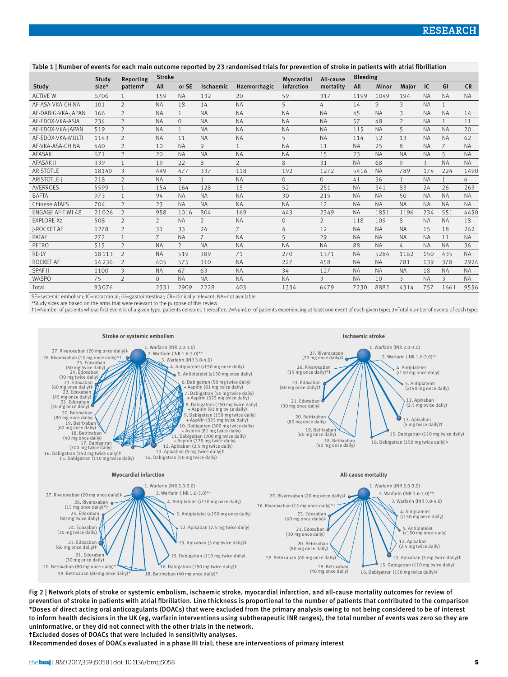|                          | Study | Reporting      | <b>Stroke</b>  |               |                | Myocardial     | All-cause    | <b>Bleeding</b> |           |           |                |           |              |           |
|--------------------------|-------|----------------|----------------|---------------|----------------|----------------|--------------|-----------------|-----------|-----------|----------------|-----------|--------------|-----------|
| Study                    | size* | patternt       | All            | or SE         | Ischaemic      | Haemorrhagic   | infarction   | mortality       | All       | Minor     | Major          | IC        | GI           | <b>CR</b> |
| <b>ACTIVE W</b>          | 6706  | 1              | 159            | <b>NA</b>     | 132            | 20             | 59           | 317             | 1199      | 1049      | 194            | <b>NA</b> | <b>NA</b>    | <b>NA</b> |
| AF-ASA-VKA-CHINA         | 101   | $\overline{2}$ | <b>NA</b>      | 18            | 14             | <b>NA</b>      | 5            | 4               | 14        | 9         | 3              | <b>NA</b> | 1            |           |
| AF-DABIG-VKA-IAPAN       | 166   | $\overline{2}$ | <b>NA</b>      | $\mathbf{1}$  | <b>NA</b>      | <b>NA</b>      | <b>NA</b>    | <b>NA</b>       | 45        | <b>NA</b> | 3              | <b>NA</b> | <b>NA</b>    | 14        |
| AF-FDOX-VKA-ASIA         | 234   | $\mathfrak{D}$ | <b>NA</b>      | $\Omega$      | <b>NA</b>      | <b>NA</b>      | <b>NA</b>    | <b>NA</b>       | 57        | 48        | $\overline{2}$ | <b>NA</b> | $\mathbf{1}$ | 11        |
| AF-EDOX-VKA-IAPAN        | 519   | $\mathcal{D}$  | <b>NA</b>      | $\mathbf{1}$  | <b>NA</b>      | <b>NA</b>      | <b>NA</b>    | <b>NA</b>       | 115       | <b>NA</b> | 5              | <b>NA</b> | <b>NA</b>    | 20        |
| AF-FDOX-VKA-MULTI        | 1143  | $\mathfrak{D}$ | <b>NA</b>      | 11            | <b>NA</b>      | <b>NA</b>      | 5            | <b>NA</b>       | 114       | 52        | 13             | <b>NA</b> | <b>NA</b>    | 62        |
| AF-VKA-ASA-CHINA         | 440   | $\mathcal{P}$  | 10             | <b>NA</b>     | 9              | $\mathbf{1}$   | <b>NA</b>    | 11              | <b>NA</b> | 25        | 8              | <b>NA</b> |              | <b>NA</b> |
| <b>AFASAK</b>            | 671   | $\overline{2}$ | 20             | <b>NA</b>     | <b>NA</b>      | <b>NA</b>      | <b>NA</b>    | 15              | 23        | <b>NA</b> | <b>NA</b>      | <b>NA</b> | 5            | <b>NA</b> |
| <b>AFASAK II</b>         | 339   | $\mathbf{1}$   | 19             | 22            | 8              | $\overline{2}$ | 8            | 31              | <b>NA</b> | 68        | 9              | 3         | <b>NA</b>    | <b>NA</b> |
| <b>ARISTOTLE</b>         | 18140 | 3              | 449            | 477           | 337            | 118            | 192          | 1272            | 5416      | <b>NA</b> | 789            | 174       | 224          | 1490      |
| <b>ARISTOTLE-I</b>       | 218   | $\mathfrak{D}$ | <b>NA</b>      | 3             | $\mathbf{1}$   | <b>NA</b>      | $\circ$      | $\Omega$        | 41        | 36        | $\mathbf{1}$   | <b>NA</b> | $\mathbf{1}$ | 6         |
| <b>AVERROES</b>          | 5599  | $\mathbf{1}$   | 154            | 164           | 128            | 15             | 52           | 251             | <b>NA</b> | 341       | 83             | 24        | 26           | 263       |
| <b>BAFTA</b>             | 973   | $\mathbf{1}$   | 94             | <b>NA</b>     | <b>NA</b>      | <b>NA</b>      | 30           | 215             | <b>NA</b> | <b>NA</b> | 50             | <b>NA</b> | <b>NA</b>    | <b>NA</b> |
| Chinese ATAFS            | 704   | $\mathcal{P}$  | 23             | <b>NA</b>     | <b>NA</b>      | <b>NA</b>      | <b>NA</b>    | 12              | <b>NA</b> | <b>NA</b> | <b>NA</b>      | <b>NA</b> | <b>NA</b>    | <b>NA</b> |
| <b>FNGAGE AF-TIMI 48</b> | 21026 | $\overline{2}$ | 958            | 1016          | 804            | 169            | 443          | 2349            | <b>NA</b> | 1851      | 1196           | 234       | 551          | 4450      |
| EXPLORE-Xa               | 508   | $\overline{2}$ | $\overline{2}$ | <b>NA</b>     | $\overline{2}$ | <b>NA</b>      | $\mathbf{O}$ | $\overline{2}$  | 118       | 109       | 8              | <b>NA</b> | <b>NA</b>    | 18        |
| <b>I-ROCKET AF</b>       | 1278  | $\mathfrak{D}$ | 31             | 33            | 24             | $\overline{7}$ | 4            | 12              | <b>NA</b> | <b>NA</b> | <b>NA</b>      | 15        | 18           | 262       |
| <b>PATAF</b>             | 272   | $\mathbf{1}$   | $\overline{7}$ | <b>NA</b>     | $\overline{7}$ | <b>NA</b>      | 5            | 29              | <b>NA</b> | <b>NA</b> | <b>NA</b>      | <b>NA</b> | 11           | <b>NA</b> |
| PFTRO                    | 515   | $\mathfrak{D}$ | <b>NA</b>      | $\mathcal{P}$ | <b>NA</b>      | <b>NA</b>      | <b>NA</b>    | <b>NA</b>       | 88        | <b>NA</b> | 4              | <b>NA</b> | <b>NA</b>    | 36        |
| RE-LY                    | 18113 | $\overline{2}$ | <b>NA</b>      | 519           | 389            | 71             | 270          | 1371            | <b>NA</b> | 5284      | 1162           | 150       | 435          | <b>NA</b> |
| <b>ROCKET AF</b>         | 14236 | $\overline{2}$ | 405            | 575           | 310            | <b>NA</b>      | 227          | 458             | <b>NA</b> | <b>NA</b> | 781            | 139       | 378          | 2924      |
| SPAF II                  | 1100  | 3              | <b>NA</b>      | 67            | 63             | <b>NA</b>      | 34           | 127             | <b>NA</b> | <b>NA</b> | <b>NA</b>      | 18        | <b>NA</b>    | <b>NA</b> |
| <b>WASPO</b>             | 75    | $\mathfrak{D}$ | $\Omega$       | <b>NA</b>     | <b>NA</b>      | <b>NA</b>      | <b>NA</b>    | 3               | <b>NA</b> | 10        | 3              | <b>NA</b> | 3            | <b>NA</b> |
| Total                    | 93076 |                | 2331           | 2909          | 2228           | 403            | 1334         | 6479            | 7230      | 8882      | 4314           | 757       | 1661         | 9556      |

Table 1 | Number of events for each main outcome reported by 23 randomised trials for prevention of stroke in patients with atrial fibrillation

SE=systemic embolism; IC=intracranial; GI=gastrointestinal; CR=clinically relevant; NA=not available

\*Study sizes are based on the arms that were relevant to the purpose of this review.

†1=Number of patients whose first event is of a given type, patients censored thereafter; 2=Number of patients experiencing at least one event of each given type; 3=Total number of events of each type.



Fig 2 | Network plots of stroke or systemic embolism, ischaemic stroke, myocardial infarction, and all-cause mortality outcomes for review of prevention of stroke in patients with atrial fibrillation. Line thickness is proportional to the number of patients that contributed to the comparison \*Doses of direct acting oral anticoagulants (DOACs) that were excluded from the primary analysis owing to not being considered to be of interest to inform health decisions in the UK (eg, warfarin interventions using subtherapeutic INR ranges), the total number of events was zero so they are uninformative, or they did not connect with the other trials in the network. †Excluded doses of DOACs that were included in sensitivity analyses.

‡Recommended doses of DOACs evaluated in a phase III trial; these are interventions of primary interest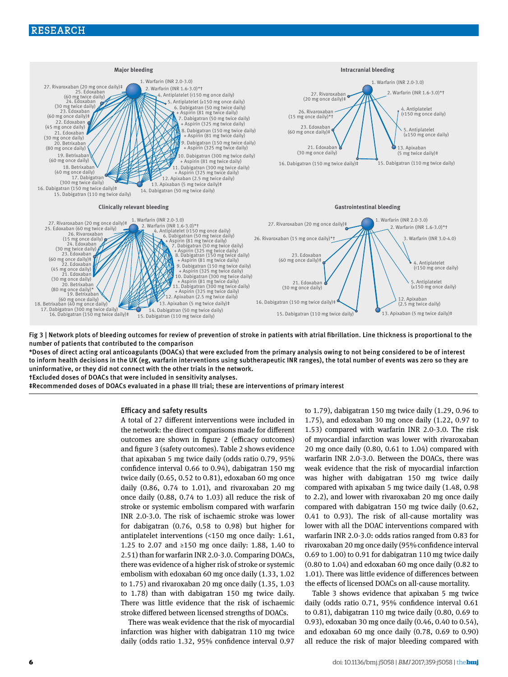

Fig 3 | Network plots of bleeding outcomes for review of prevention of stroke in patients with atrial fibrillation. Line thickness is proportional to the number of patients that contributed to the comparison

\*Doses of direct acting oral anticoagulants (DOACs) that were excluded from the primary analysis owing to not being considered to be of interest to inform health decisions in the UK (eg, warfarin interventions using subtherapeutic INR ranges), the total number of events was zero so they are uninformative, or they did not connect with the other trials in the network.

†Excluded doses of DOACs that were included in sensitivity analyses.

‡Recommended doses of DOACs evaluated in a phase III trial; these are interventions of primary interest

#### Efficacy and safety results

A total of 27 different interventions were included in the network: the direct comparisons made for different outcomes are shown in figure 2 (efficacy outcomes) and figure 3 (safety outcomes). Table 2 shows evidence that apixaban 5 mg twice daily (odds ratio 0.79, 95% confidence interval 0.66 to 0.94), dabigatran 150 mg twice daily (0.65, 0.52 to 0.81), edoxaban 60 mg once daily (0.86, 0.74 to 1.01), and rivaroxaban 20 mg once daily (0.88, 0.74 to 1.03) all reduce the risk of stroke or systemic embolism compared with warfarin INR 2.0-3.0. The risk of ischaemic stroke was lower for dabigatran (0.76, 0.58 to 0.98) but higher for antiplatelet interventions (<150 mg once daily: 1.61, 1.25 to 2.07 and ≥150 mg once daily: 1.88, 1.40 to 2.51) than for warfarin INR 2.0-3.0. Comparing DOACs, there was evidence of a higher risk of stroke or systemic embolism with edoxaban 60 mg once daily (1.33, 1.02 to 1.75) and rivaroxaban 20 mg once daily (1.35, 1.03 to 1.78) than with dabigatran 150 mg twice daily. There was little evidence that the risk of ischaemic stroke differed between licensed strengths of DOACs.

There was weak evidence that the risk of myocardial infarction was higher with dabigatran 110 mg twice daily (odds ratio 1.32, 95% confidence interval 0.97 to 1.79), dabigatran 150 mg twice daily (1.29, 0.96 to 1.75), and edoxaban 30 mg once daily (1.22, 0.97 to 1.53) compared with warfarin INR 2.0-3.0. The risk of myocardial infarction was lower with rivaroxaban 20 mg once daily (0.80, 0.61 to 1.04) compared with warfarin INR 2.0-3.0. Between the DOACs, there was weak evidence that the risk of myocardial infarction was higher with dabigatran 150 mg twice daily compared with apixaban 5 mg twice daily (1.48, 0.98 to 2.2), and lower with rivaroxaban 20 mg once daily compared with dabigatran 150 mg twice daily (0.62, 0.41 to 0.93). The risk of all-cause mortality was lower with all the DOAC interventions compared with warfarin INR 2.0-3.0: odds ratios ranged from 0.83 for rivaroxaban 20 mg once daily (95% confidence interval 0.69 to 1.00) to 0.91 for dabigatran 110 mg twice daily (0.80 to 1.04) and edoxaban 60 mg once daily (0.82 to 1.01). There was little evidence of differences between the effects of licensed DOACs on all-cause mortality.

Table 3 shows evidence that apixaban 5 mg twice daily (odds ratio 0.71, 95% confidence interval 0.61 to 0.81), dabigatran 110 mg twice daily (0.80, 0.69 to 0.93), edoxaban 30 mg once daily (0.46, 0.40 to 0.54), and edoxaban 60 mg once daily (0.78, 0.69 to 0.90) all reduce the risk of major bleeding compared with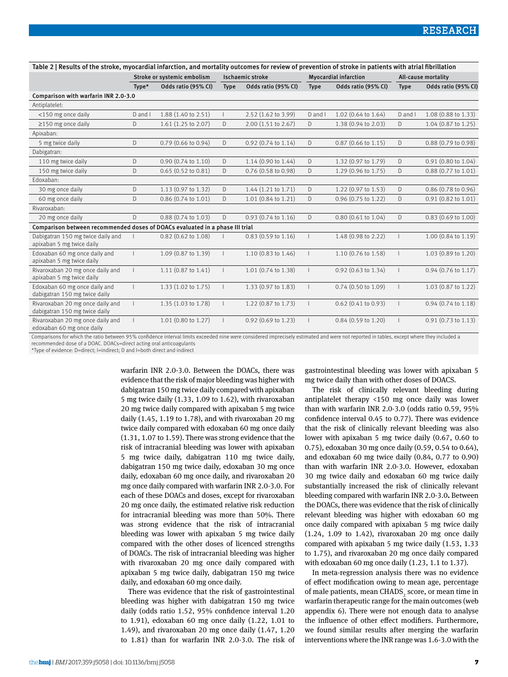| Table 2   Results of the stroke, myocardial infarction, and mortality outcomes for review of prevention of stroke in patients with atrial fibrillation |         |                               |             |                           |             |                              |                     |                           |  |
|--------------------------------------------------------------------------------------------------------------------------------------------------------|---------|-------------------------------|-------------|---------------------------|-------------|------------------------------|---------------------|---------------------------|--|
|                                                                                                                                                        |         | Stroke or systemic embolism   |             | <b>Ischaemic stroke</b>   |             | <b>Myocardial infarction</b> | All-cause mortality |                           |  |
|                                                                                                                                                        | Type*   | Odds ratio (95% CI)           | <b>Type</b> | Odds ratio (95% CI)       | <b>Type</b> | Odds ratio (95% CI)          | <b>Type</b>         | Odds ratio (95% CI)       |  |
| Comparison with warfarin INR 2.0-3.0                                                                                                                   |         |                               |             |                           |             |                              |                     |                           |  |
| Antiplatelet:                                                                                                                                          |         |                               |             |                           |             |                              |                     |                           |  |
| <150 mg once daily                                                                                                                                     | D and I | 1.88 (1.40 to 2.51)           |             | 2.52 (1.62 to 3.99)       | D and I     | 1.02 (0.64 to 1.64)          | D and I             | 1.08 (0.88 to 1.33)       |  |
| $\geq$ 150 mg once daily                                                                                                                               | D       | $1.61$ (1.25 to 2.07)         | D           | 2.00 (1.51 to 2.67)       | D           | 1.38 (0.94 to 2.03)          | D                   | 1.04 (0.87 to 1.25)       |  |
| Apixaban:                                                                                                                                              |         |                               |             |                           |             |                              |                     |                           |  |
| 5 mg twice daily                                                                                                                                       | D       | 0.79 (0.66 to 0.94)           | D           | 0.92 (0.74 to 1.14)       | D           | 0.87 (0.66 to 1.15)          | D                   | 0.88 (0.79 to 0.98)       |  |
| Dabigatran:                                                                                                                                            |         |                               |             |                           |             |                              |                     |                           |  |
| 110 mg twice daily                                                                                                                                     | D       | $0.90(0.74 \text{ to } 1.10)$ | D           | 1.14 (0.90 to 1.44)       | D           | 1.32 (0.97 to 1.79)          | D                   | $0.91$ (0.80 to 1.04)     |  |
| 150 mg twice daily                                                                                                                                     | D       | 0.65(0.52 to 0.81)            | D           | 0.76 (0.58 to 0.98)       | D           | 1.29 (0.96 to 1.75)          | D                   | 0.88 (0.77 to 1.01)       |  |
| Edoxaban:                                                                                                                                              |         |                               |             |                           |             |                              |                     |                           |  |
| 30 mg once daily                                                                                                                                       | D       | 1.13 (0.97 to 1.32)           | D           | 1.44 (1.21 to 1.71)       | D           | 1.22 (0.97 to 1.53)          | D                   | 0.86 (0.78 to 0.96)       |  |
| 60 mg once daily                                                                                                                                       | D       | 0.86 (0.74 to 1.01)           | D           | 1.01 (0.84 to 1.21)       | D           | 0.96 (0.75 to 1.22)          | D                   | 0.91 (0.82 to 1.01)       |  |
| Rivaroxaban:                                                                                                                                           |         |                               |             |                           |             |                              |                     |                           |  |
| 20 mg once daily                                                                                                                                       | D       | 0.88 (0.74 to 1.03)           | D           | $0.93$ $(0.74$ to $1.16)$ | D           | $0.80$ (0.61 to 1.04)        | D                   | $0.83$ (0.69 to 1.00)     |  |
| Comparison between recommended doses of DOACs evaluated in a phase III trial                                                                           |         |                               |             |                           |             |                              |                     |                           |  |
| Dabigatran 150 mg twice daily and<br>apixaban 5 mg twice daily                                                                                         |         | 0.82 (0.62 to 1.08)           |             | $0.83$ (0.59 to 1.16)     |             | 1.48 (0.98 to 2.22)          |                     | 1.00 (0.84 to 1.19)       |  |
| Edoxaban 60 mg once daily and<br>apixaban 5 mg twice daily                                                                                             |         | 1.09 (0.87 to 1.39)           |             | 1.10 (0.83 to 1.46)       |             | 1.10 (0.76 to 1.58)          |                     | 1.03 (0.89 to 1.20)       |  |
| Rivaroxaban 20 mg once daily and<br>apixaban 5 mg twice daily                                                                                          |         | 1.11 (0.87 to 1.41)           |             | 1.01 (0.74 to 1.38)       |             | 0.92 (0.63 to 1.34)          |                     | 0.94 (0.76 to 1.17)       |  |
| Edoxaban 60 mg once daily and<br>dabigatran 150 mg twice daily                                                                                         |         | 1.33 (1.02 to 1.75)           |             | 1.33 (0.97 to 1.83)       |             | 0.74 (0.50 to 1.09)          |                     | 1.03 (0.87 to 1.22)       |  |
| Rivaroxaban 20 mg once daily and<br>dabigatran 150 mg twice daily                                                                                      |         | 1.35 (1.03 to 1.78)           |             | 1.22 (0.87 to 1.73)       |             | $0.62$ (0.41 to 0.93)        |                     | $0.94$ (0.74 to 1.18)     |  |
| Rivaroxaban 20 mg once daily and<br>edoxaban 60 mg once daily                                                                                          |         | 1.01 (0.80 to 1.27)           |             | 0.92 (0.69 to 1.23)       |             | 0.84 (0.59 to 1.20)          |                     | $0.91$ $(0.73$ to $1.13)$ |  |

Comparisons for which the ratio between 95% confidence interval limits exceeded nine were considered imprecisely estimated and were not reported in tables, except where they included a recommended dose of a DOAC. DOACs=direct acting oral anticoagulants

\*Type of evidence: D=direct; I=indirect; D and I=both direct and indirect

warfarin INR 2.0-3.0. Between the DOACs, there was evidence that the risk of major bleeding was higher with dabigatran 150 mg twice daily compared with apixaban 5 mg twice daily (1.33, 1.09 to 1.62), with rivaroxaban 20 mg twice daily compared with apixaban 5 mg twice daily  $(1.45, 1.19 \text{ to } 1.78)$ , and with rivaroxaban 20 mg twice daily compared with edoxaban 60 mg once daily (1.31, 1.07 to 1.59). There was strong evidence that the risk of intracranial bleeding was lower with apixaban 5 mg twice daily, dabigatran 110 mg twice daily, dabigatran 150 mg twice daily, edoxaban 30 mg once daily, edoxaban 60 mg once daily, and rivaroxaban 20 mg once daily compared with warfarin INR 2.0-3.0. For each of these DOACs and doses, except for rivaroxaban 20 mg once daily, the estimated relative risk reduction for intracranial bleeding was more than 50%. There was strong evidence that the risk of intracranial bleeding was lower with apixaban 5 mg twice daily compared with the other doses of licenced strengths of DOACs. The risk of intracranial bleeding was higher with rivaroxaban 20 mg once daily compared with apixaban 5 mg twice daily, dabigatran 150 mg twice daily, and edoxaban 60 mg once daily.

There was evidence that the risk of gastrointestinal bleeding was higher with dabigatran 150 mg twice daily (odds ratio 1.52, 95% confidence interval 1.20 to 1.91), edoxaban 60 mg once daily (1.22, 1.01 to 1.49), and rivaroxaban 20 mg once daily (1.47, 1.20 to 1.81) than for warfarin INR 2.0-3.0. The risk of gastrointestinal bleeding was lower with apixaban 5 mg twice daily than with other doses of DOACS.

The risk of clinically relevant bleeding during antiplatelet therapy <150 mg once daily was lower than with warfarin INR 2.0-3.0 (odds ratio 0.59, 95% confidence interval 0.45 to 0.77). There was evidence that the risk of clinically relevant bleeding was also lower with apixaban 5 mg twice daily (0.67, 0.60 to 0.75), edoxaban 30 mg once daily (0.59, 0.54 to 0.64), and edoxaban 60 mg twice daily (0.84, 0.77 to 0.90) than with warfarin INR 2.0-3.0. However, edoxaban 30 mg twice daily and edoxaban 60 mg twice daily substantially increased the risk of clinically relevant bleeding compared with warfarin INR 2.0-3.0**.** Between the DOACs, there was evidence that the risk of clinically relevant bleeding was higher with edoxaban 60 mg once daily compared with apixaban 5 mg twice daily (1.24, 1.09 to 1.42), rivaroxaban 20 mg once daily compared with apixaban 5 mg twice daily (1.53, 1.33 to 1.75), and rivaroxaban 20 mg once daily compared with edoxaban 60 mg once daily (1.23, 1.1 to 1.37).

In meta-regression analysis there was no evidence of effect modification owing to mean age, percentage of male patients, mean  $\mathtt{CHADS}_{2}$  score, or mean time in warfarin therapeutic range for the main outcomes (web appendix 6). There were not enough data to analyse the influence of other effect modifiers. Furthermore, we found similar results after merging the warfarin interventions where the INR range was 1.6-3.0 with the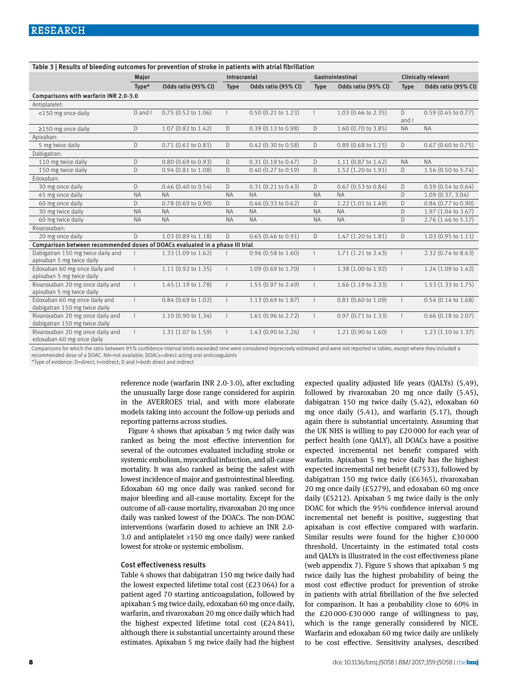| Table 3   Results of bleeding outcomes for prevention of stroke in patients with atrial fibrillation |           |                       |              |                       |             |                           |                     |                               |  |
|------------------------------------------------------------------------------------------------------|-----------|-----------------------|--------------|-----------------------|-------------|---------------------------|---------------------|-------------------------------|--|
|                                                                                                      | Major     |                       | Intracranial |                       |             | Gastrointestinal          | Clinically relevant |                               |  |
|                                                                                                      | $Type*$   | Odds ratio (95% CI)   | <b>Type</b>  | Odds ratio (95% CI)   | <b>Type</b> | Odds ratio (95% CI)       | <b>Type</b>         | Odds ratio (95% CI)           |  |
| Comparisons with warfarin INR 2.0-3.0                                                                |           |                       |              |                       |             |                           |                     |                               |  |
| Antiplatelet:                                                                                        |           |                       |              |                       |             |                           |                     |                               |  |
| <150 mg once daily                                                                                   | D and I   | 0.75 (0.52 to 1.06)   |              | 0.50 (0.21 to 1.23)   |             | 1.03 (0.46 to 2.35)       | D<br>and I          | 0.59 (0.45 to 0.77)           |  |
| $\geq$ 150 mg once daily                                                                             | D         | 1.07 (0.82 to 1.42)   | D            | 0.39 (0.13 to 0.98)   | D           | 1.60 (0.70 to 3.85)       | <b>NA</b>           | <b>NA</b>                     |  |
| Apixaban:                                                                                            |           |                       |              |                       |             |                           |                     |                               |  |
| 5 mg twice daily                                                                                     | D         | 0.71(0.61 to 0.81)    | D            | 0.42 (0.30 to 0.58)   | D           | 0.89 (0.68 to 1.15)       | D                   | $0.67$ (0.60 to 0.75)         |  |
| Dabigatran:                                                                                          |           |                       |              |                       |             |                           |                     |                               |  |
| 110 mg twice daily                                                                                   | D         | 0.80 (0.69 to 0.93)   | D.           | 0.31(0.19 to 0.47)    | D           | 1.11 (0.87 to 1.42)       | <b>NA</b>           | <b>NA</b>                     |  |
| 150 mg twice daily                                                                                   | D         | 0.94 (0.81 to 1.08)   | D            | 0.40 (0.27 to 0.59)   | D           | 1.52 (1.20 to 1.91)       | D                   | 1.56 (0.50 to 5.74)           |  |
| Edoxaban:                                                                                            |           |                       |              |                       |             |                           |                     |                               |  |
| 30 mg once daily                                                                                     | D         | $0.46$ (0.40 to 0.54) | D            | 0.31(0.21 to 0.43)    | D           | $0.67$ $(0.53$ to $0.84)$ | D                   | $0.59(0.54 \text{ to } 0.64)$ |  |
| 45 mg once daily                                                                                     | <b>NA</b> | <b>NA</b>             | <b>NA</b>    | <b>NA</b>             | <b>NA</b>   | <b>NA</b>                 | D                   | 1.09(0.37, 3.04)              |  |
| 60 mg once daily                                                                                     | D         | 0.78 (0.69 to 0.90)   | D            | 0.46 (0.33 to 0.62)   | D           | 1.22 (1.01 to 1.49)       | D                   | 0.84 (0.77 to 0.90)           |  |
| 30 mg twice daily                                                                                    | <b>NA</b> | <b>NA</b>             | <b>NA</b>    | <b>NA</b>             | <b>NA</b>   | <b>NA</b>                 | D                   | 1.97 (1.04 to 3.67)           |  |
| 60 mg twice daily                                                                                    | <b>NA</b> | <b>NA</b>             | <b>NA</b>    | <b>NA</b>             | <b>NA</b>   | <b>NA</b>                 | D                   | 2.76 (1.46 to 5.17)           |  |
| Rivaroxaban:                                                                                         |           |                       |              |                       |             |                           |                     |                               |  |
| 20 mg once daily                                                                                     | D         | 1.03 (0.89 to 1.18)   | D            | $0.65$ (0.46 to 0.91) | D           | 1.47 (1.20 to 1.81)       | D                   | 1.03 (0.95 to 1.11)           |  |
| Comparison between recommended doses of DOACs evaluated in a phase III trial                         |           |                       |              |                       |             |                           |                     |                               |  |
| Dabigatran 150 mg twice daily and<br>apixaban 5 mg twice daily                                       |           | 1.33 (1.09 to 1.62)   |              | $0.96$ (0.58 to 1.60) |             | 1.71 (1.21 to 2.43)       |                     | 2.32 (0.74 to 8.63)           |  |
| Edoxaban 60 mg once daily and<br>apixaban 5 mg twice daily                                           |           | 1.11 (0.92 to 1.35)   |              | 1.09 (0.69 to 1.70)   |             | 1.38 (1.00 to 1.92)       |                     | 1.24 (1.09 to 1.42)           |  |
| Rivaroxaban 20 mg once daily and<br>apixaban 5 mg twice daily                                        |           | 1.45 (1.19 to 1.78)   |              | 1.55 (0.97 to 2.49)   |             | 1.66 (1.19 to 2.33)       |                     | 1.53 (1.33 to 1.75)           |  |
| Edoxaban 60 mg once daily and<br>dabigatran 150 mg twice daily                                       |           | 0.84 (0.69 to 1.02)   |              | 1.13 (0.69 to 1.87)   |             | 0.81 (0.60 to 1.09)       |                     | $0.54$ (0.14 to 1.68)         |  |
| Rivaroxaban 20 mg once daily and<br>dabigatran 150 mg twice daily                                    |           | 1.10 (0.90 to 1.34)   |              | 1.61 (0.96 to 2.72)   |             | 0.97 (0.71 to 1.33)       |                     | $0.66$ $(0.18$ to $2.07)$     |  |
| Rivaroxaban 20 mg once daily and<br>edoxaban 60 mg once daily                                        |           | 1.31 (1.07 to 1.59)   |              | 1.43 (0.90 to 2.26)   |             | 1.21 (0.90 to 1.60)       |                     | $1.23(1.10 \text{ to } 1.37)$ |  |

Comparisons for which the ratio between 95% confidence interval limits exceeded nine were considered imprecisely estimated and were not reported in tables, except where they included a recommended dose of a DOAC. NA=not available; DOACs=direct acting oral anticoagulants

\*Type of evidence: D=direct; I=indirect; D and I=both direct and indirect

reference node (warfarin INR 2.0-3.0), after excluding the unusually large dose range considered for aspirin in the AVERROES trial, and with more elaborate models taking into account the follow-up periods and reporting patterns across studies.

Figure 4 shows that apixaban 5 mg twice daily was ranked as being the most effective intervention for several of the outcomes evaluated including stroke or systemic embolism, myocardial infarction, and all-cause mortality. It was also ranked as being the safest with lowest incidence of major and gastrointestinal bleeding. Edoxaban 60 mg once daily was ranked second for major bleeding and all-cause mortality. Except for the outcome of all-cause mortality, rivaroxaban 20 mg once daily was ranked lowest of the DOACs. The non-DOAC interventions (warfarin dosed to achieve an INR 2.0- 3.0 and antiplatelet ≥150 mg once daily) were ranked lowest for stroke or systemic embolism.

#### Cost effectiveness results

Table 4 shows that dabigatran 150 mg twice daily had the lowest expected lifetime total cost (£23 064) for a patient aged 70 starting anticoagulation, followed by apixaban 5 mg twice daily, edoxaban 60 mg once daily, warfarin, and rivaroxaban 20 mg once daily which had the highest expected lifetime total cost (£24 841), although there is substantial uncertainty around these estimates. Apixaban 5 mg twice daily had the highest expected quality adjusted life years (QALYs) (5.49), followed by rivaroxaban 20 mg once daily (5.45), dabigatran 150 mg twice daily (5.42), edoxaban 60 mg once daily (5.41), and warfarin (5.17), though again there is substantial uncertainty. Assuming that the UK NHS is willing to pay £20 000 for each year of perfect health (one QALY), all DOACs have a positive expected incremental net benefit compared with warfarin. Apixaban 5 mg twice daily has the highest expected incremental net benefit (£7533), followed by dabigatran 150 mg twice daily (£6365), rivaroxaban 20 mg once daily (£5279), and edoxaban 60 mg once daily (£5212). Apixaban 5 mg twice daily is the only DOAC for which the 95% confidence interval around incremental net benefit is positive, suggesting that apixaban is cost effective compared with warfarin. Similar results were found for the higher £30 000 threshold. Uncertainty in the estimated total costs and QALYs is illustrated in the cost effectiveness plane (web appendix 7). Figure 5 shows that apixaban 5 mg twice daily has the highest probability of being the most cost effective product for prevention of stroke in patients with atrial fibrillation of the five selected for comparison. It has a probability close to 60% in the £20 000-£30 000 range of willingness to pay, which is the range generally considered by NICE. Warfarin and edoxaban 60 mg twice daily are unlikely to be cost effective. Sensitivity analyses, described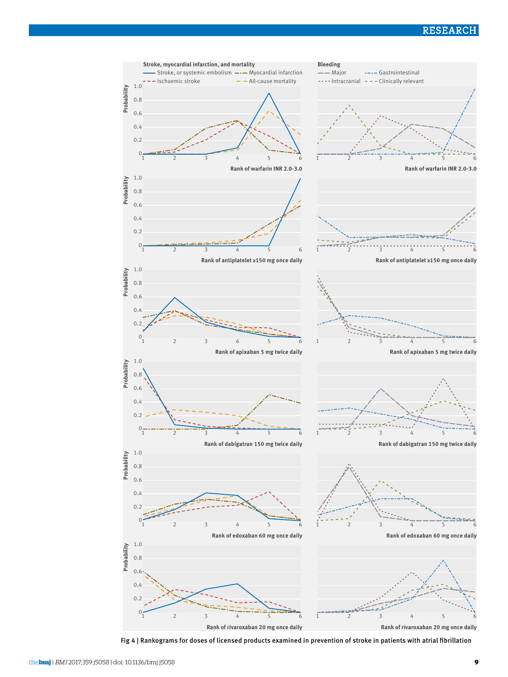# RESEARCH



Fig 4 | Rankograms for doses of licensed products examined in prevention of stroke in patients with atrial fibrillation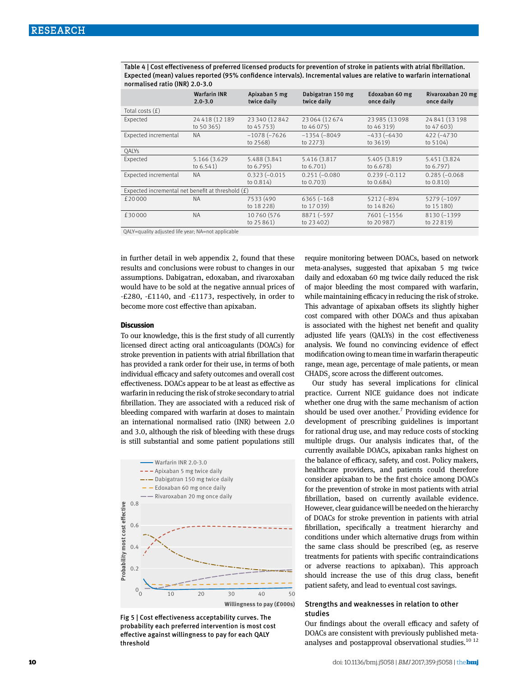Table 4 | Cost effectiveness of preferred licensed products for prevention of stroke in patients with atrial fibrillation. Expected (mean) values reported (95% confidence intervals). Incremental values are relative to warfarin international normalised ratio (INR) 2.0-3.0

| <b>Warfarin INR</b>                                 | Apixaban 5 mg   | Dabigatran 150 mg | Edoxaban 60 mg  | Rivaroxaban 20 mg |  |  |  |  |  |  |
|-----------------------------------------------------|-----------------|-------------------|-----------------|-------------------|--|--|--|--|--|--|
| $2.0 - 3.0$                                         | twice daily     | twice daily       | once daily      | once daily        |  |  |  |  |  |  |
|                                                     |                 |                   |                 |                   |  |  |  |  |  |  |
| 24 418 (12 189                                      | 23 340 (12 842) | 23 064 (12 674    | 23 985 (13 098) | 24 841 (13 198    |  |  |  |  |  |  |
| to 50 365)                                          | to 45 753)      | to 46 075)        | to 46 319)      | to 47 603)        |  |  |  |  |  |  |
| <b>NA</b>                                           | $-1078(-7626$   | $-1354(-8049$     | $-433(-6430)$   | 422 (-4730)       |  |  |  |  |  |  |
|                                                     | to 2568)        | to 2273)          | to 3619)        | to 5104)          |  |  |  |  |  |  |
|                                                     |                 |                   |                 |                   |  |  |  |  |  |  |
| 5.166 (3.629)                                       | 5.488 (3.841)   | 5.416 (3.817      | 5.405 (3.819)   | 5.451 (3.824)     |  |  |  |  |  |  |
| to $6.541$ )                                        | to 6.795)       | to $6.701$ )      | to $6.678$ )    | to $6.797$ )      |  |  |  |  |  |  |
| <b>NA</b>                                           | $0.323(-0.015)$ | $0.251(-0.080)$   | $0.239(-0.112)$ | $0.285(-0.068)$   |  |  |  |  |  |  |
|                                                     | to $0.814$ )    | to 0.703)         | to 0.684)       | to $0.810$        |  |  |  |  |  |  |
| Expected incremental net benefit at threshold $(f)$ |                 |                   |                 |                   |  |  |  |  |  |  |
| <b>NA</b>                                           | 7533 (490)      | $6365 (-168$      | 5212 (-894      | 5279 (-1097       |  |  |  |  |  |  |
|                                                     | to 18 228)      | to 17 039)        | to 14826)       | to 15 180)        |  |  |  |  |  |  |
| <b>NA</b>                                           | 10760 (576      | 8871 (-597        | 7601 (-1556)    | 8130 (-1399)      |  |  |  |  |  |  |
|                                                     | to 25 861)      | to 23 402)        | to 20 987)      | to 22 819)        |  |  |  |  |  |  |
|                                                     |                 |                   |                 |                   |  |  |  |  |  |  |

QALY=quality adjusted life year; NA=not applicable

in further detail in web appendix 2, found that these results and conclusions were robust to changes in our assumptions. Dabigatran, edoxaban, and rivaroxaban would have to be sold at the negative annual prices of -£280, -£1140, and -£1173, respectively, in order to become more cost effective than apixaban.

#### **Discussion**

To our knowledge, this is the first study of all currently licensed direct acting oral anticoagulants (DOACs) for stroke prevention in patients with atrial fibrillation that has provided a rank order for their use, in terms of both individual efficacy and safety outcomes and overall cost effectiveness. DOACs appear to be at least as effective as warfarin in reducing the risk of stroke secondary to atrial fibrillation. They are associated with a reduced risk of bleeding compared with warfarin at doses to maintain an international normalised ratio (INR) between 2.0 and 3.0, although the risk of bleeding with these drugs is still substantial and some patient populations still



Fig 5 | Cost effectiveness acceptability curves. The probability each preferred intervention is most cost effective against willingness to pay for each QALY threshold

require monitoring between DOACs, based on network meta-analyses, suggested that apixaban 5 mg twice daily and edoxaban 60 mg twice daily reduced the risk of major bleeding the most compared with warfarin, while maintaining efficacy in reducing the risk of stroke. This advantage of apixaban offsets its slightly higher cost compared with other DOACs and thus apixaban is associated with the highest net benefit and quality adjusted life years (QALYs) in the cost effectiveness analysis. We found no convincing evidence of effect modification owing to mean time in warfarin therapeutic range, mean age, percentage of male patients, or mean  $\mathrm{CHADS}_{2}$  score across the different outcomes.

Our study has several implications for clinical practice. Current NICE guidance does not indicate whether one drug with the same mechanism of action should be used over another.<sup>7</sup> Providing evidence for development of prescribing guidelines is important for rational drug use, and may reduce costs of stocking multiple drugs. Our analysis indicates that, of the currently available DOACs, apixaban ranks highest on the balance of efficacy, safety, and cost. Policy makers, healthcare providers, and patients could therefore consider apixaban to be the first choice among DOACs for the prevention of stroke in most patients with atrial fibrillation, based on currently available evidence. However, clear guidance will be needed on the hierarchy of DOACs for stroke prevention in patients with atrial fibrillation, specifically a treatment hierarchy and conditions under which alternative drugs from within the same class should be prescribed (eg, as reserve treatments for patients with specific contraindications or adverse reactions to apixaban). This approach should increase the use of this drug class, benefit patient safety, and lead to eventual cost savings.

# Strengths and weaknesses in relation to other studies

Our findings about the overall efficacy and safety of DOACs are consistent with previously published metaanalyses and postapproval observational studies.<sup>10 12</sup>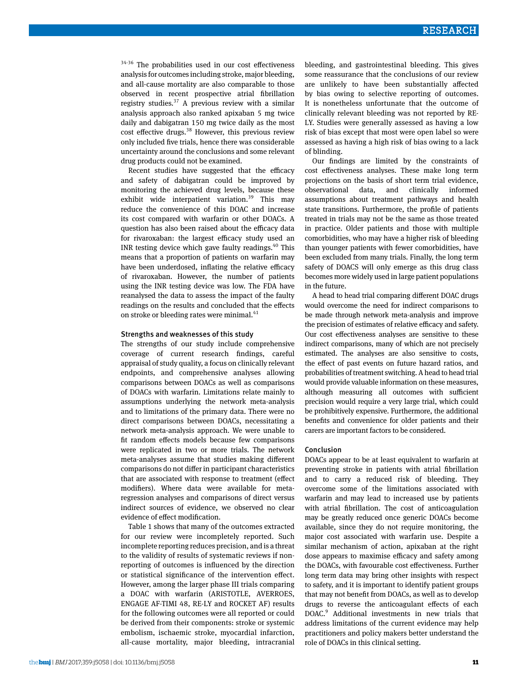<sup>34-36</sup> The probabilities used in our cost effectiveness analysis for outcomes including stroke, major bleeding, and all-cause mortality are also comparable to those observed in recent prospective atrial fibrillation registry studies.<sup>37</sup> A previous review with a similar analysis approach also ranked apixaban 5 mg twice daily and dabigatran 150 mg twice daily as the most cost effective drugs. $38$  However, this previous review only included five trials, hence there was considerable uncertainty around the conclusions and some relevant drug products could not be examined.

Recent studies have suggested that the efficacy and safety of dabigatran could be improved by monitoring the achieved drug levels, because these exhibit wide interpatient variation.<sup>39</sup> This may reduce the convenience of this DOAC and increase its cost compared with warfarin or other DOACs. A question has also been raised about the efficacy data for rivaroxaban: the largest efficacy study used an INR testing device which gave faulty readings.40 This means that a proportion of patients on warfarin may have been underdosed, inflating the relative efficacy of rivaroxaban. However, the number of patients using the INR testing device was low. The FDA have reanalysed the data to assess the impact of the faulty readings on the results and concluded that the effects on stroke or bleeding rates were minimal.<sup>41</sup>

#### Strengths and weaknesses of this study

The strengths of our study include comprehensive coverage of current research findings, careful appraisal of study quality, a focus on clinically relevant endpoints, and comprehensive analyses allowing comparisons between DOACs as well as comparisons of DOACs with warfarin. Limitations relate mainly to assumptions underlying the network meta-analysis and to limitations of the primary data. There were no direct comparisons between DOACs, necessitating a network meta-analysis approach. We were unable to fit random effects models because few comparisons were replicated in two or more trials. The network meta-analyses assume that studies making different comparisons do not differ in participant characteristics that are associated with response to treatment (effect modifiers). Where data were available for metaregression analyses and comparisons of direct versus indirect sources of evidence, we observed no clear evidence of effect modification.

Table 1 shows that many of the outcomes extracted for our review were incompletely reported. Such incomplete reporting reduces precision, and is a threat to the validity of results of systematic reviews if nonreporting of outcomes is influenced by the direction or statistical significance of the intervention effect. However, among the larger phase III trials comparing a DOAC with warfarin (ARISTOTLE, AVERROES, ENGAGE AF-TIMI 48, RE-LY and ROCKET AF) results for the following outcomes were all reported or could be derived from their components: stroke or systemic embolism, ischaemic stroke, myocardial infarction, all-cause mortality, major bleeding, intracranial

bleeding, and gastrointestinal bleeding. This gives some reassurance that the conclusions of our review are unlikely to have been substantially affected by bias owing to selective reporting of outcomes. It is nonetheless unfortunate that the outcome of clinically relevant bleeding was not reported by RE-LY. Studies were generally assessed as having a low risk of bias except that most were open label so were assessed as having a high risk of bias owing to a lack of blinding.

Our findings are limited by the constraints of cost effectiveness analyses. These make long term projections on the basis of short term trial evidence, observational data, and clinically informed assumptions about treatment pathways and health state transitions. Furthermore, the profile of patients treated in trials may not be the same as those treated in practice. Older patients and those with multiple comorbidities, who may have a higher risk of bleeding than younger patients with fewer comorbidities, have been excluded from many trials. Finally, the long term safety of DOACS will only emerge as this drug class becomes more widely used in large patient populations in the future.

A head to head trial comparing different DOAC drugs would overcome the need for indirect comparisons to be made through network meta-analysis and improve the precision of estimates of relative efficacy and safety. Our cost effectiveness analyses are sensitive to these indirect comparisons, many of which are not precisely estimated. The analyses are also sensitive to costs, the effect of past events on future hazard ratios, and probabilities of treatment switching. A head to head trial would provide valuable information on these measures, although measuring all outcomes with sufficient precision would require a very large trial, which could be prohibitively expensive. Furthermore, the additional benefits and convenience for older patients and their carers are important factors to be considered.

#### Conclusion

DOACs appear to be at least equivalent to warfarin at preventing stroke in patients with atrial fibrillation and to carry a reduced risk of bleeding. They overcome some of the limitations associated with warfarin and may lead to increased use by patients with atrial fibrillation. The cost of anticoagulation may be greatly reduced once generic DOACs become available, since they do not require monitoring, the major cost associated with warfarin use. Despite a similar mechanism of action, apixaban at the right dose appears to maximise efficacy and safety among the DOACs, with favourable cost effectiveness. Further long term data may bring other insights with respect to safety, and it is important to identify patient groups that may not benefit from DOACs, as well as to develop drugs to reverse the anticoagulant effects of each DOAC.9 Additional investments in new trials that address limitations of the current evidence may help practitioners and policy makers better understand the role of DOACs in this clinical setting.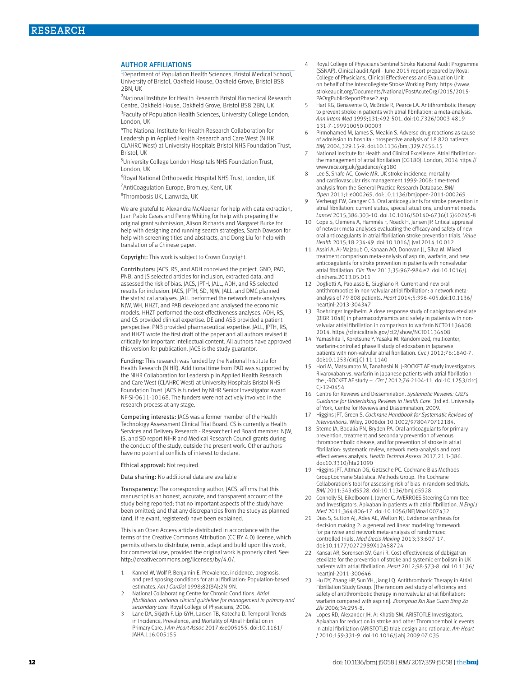#### AUTHOR AFFILIATIONS

<sup>1</sup>Department of Population Health Sciences, Bristol Medical School, University of Bristol, Oakfield House, Oakfield Grove, Bristol BS8 2BN, UK

<sup>2</sup> National Institute for Health Research Bristol Biomedical Research Centre, Oakfield House, Oakfield Grove, Bristol BS8 2BN, UK

<sup>3</sup> Faculty of Population Health Sciences, University College London, London, UK

4 The National Institute for Health Research Collaboration for Leadership in Applied Health Research and Care West (NIHR CLAHRC West) at University Hospitals Bristol NHS Foundation Trust, Bristol, UK

5 University College London Hospitals NHS Foundation Trust, London, UK

6 Royal National Orthopaedic Hospital NHS Trust, London, UK

<sup>7</sup> AntiCoagulation Europe, Bromley, Kent, UK

8 Thrombosis UK, Llanwrda, UK

We are grateful to Alexandra McAleenan for help with data extraction, Juan Pablo Casas and Penny Whiting for help with preparing the original grant submission, Alison Richards and Margaret Burke for help with designing and running search strategies, Sarah Dawson for help with screening titles and abstracts, and Dong Liu for help with translation of a Chinese paper.

Copyright: This work is subject to Crown Copyright.

Contributors: JACS, RS, and ADH conceived the project. GNO, PAD, PNB, and JS selected articles for inclusion, extracted data, and assessed the risk of bias. JACS, JPTH, JALL, ADH, and RS selected results for inclusion. JACS, JPTH, SD, NJW, JALL, and DMC planned the statistical analyses. JALL performed the network meta-analyses. NJW, WH, HHZT, and PAB developed and analysed the economic models. HHZT performed the cost effectiveness analyses. ADH, RS, and CS provided clinical expertise. DE and ASB provided a patient perspective. PNB provided pharmaceutical expertise. JALL, JPTH, RS, and HHZT wrote the first draft of the paper and all authors revised it critically for important intellectual content. All authors have approved this version for publication. JACS is the study guarantor.

Funding: This research was funded by the National Institute for Health Research (NIHR). Additional time from PAD was supported by the NIHR Collaboration for Leadership in Applied Health Research and Care West (CLAHRC West) at University Hospitals Bristol NHS Foundation Trust. JACS is funded by NIHR Senior Investigator award NF-SI-0611-10168. The funders were not actively involved in the research process at any stage.

Competing interests: JACS was a former member of the Health Technology Assessment Clinical Trial Board. CS is currently a Health Services and Delivery Research - Researcher Led Board member. NJW, JS, and SD report NIHR and Medical Research Council grants during the conduct of the study, outside the present work. Other authors have no potential conflicts of interest to declare.

Ethical approval: Not required.

Data sharing: No additional data are available

Transparency: The corresponding author, JACS, affirms that this manuscript is an honest, accurate, and transparent account of the study being reported; that no important aspects of the study have been omitted; and that any discrepancies from the study as planned (and, if relevant, registered) have been explained.

This is an Open Access article distributed in accordance with the terms of the Creative Commons Attribution (CC BY 4.0) license, which permits others to distribute, remix, adapt and build upon this work, for commercial use, provided the original work is properly cited. See: [http://creativecommons.org/licenses/by/4.0/.](http://creativecommons.org/licenses/by/4.0/)

- Kannel W, Wolf P, Benjamin E. Prevalence, incidence, prognosis, and predisposing conditions for atrial fibrillation: Population-based estimates. *Am J Cardiol* 1998;82(8A):2N-9N.
- 2 National Collaborating Centre for Chronic Conditions. *Atrial fibrillation: national clinical guideline for management in primary and secondary care.* Royal College of Physicians, 2006.
- 3 Lane DA, Skjøth F, Lip GYH, Larsen TB, Kotecha D. Temporal Trends in Incidence, Prevalence, and Mortality of Atrial Fibrillation in Primary Care. *J Am Heart Assoc* 2017;6:e005155. doi:10.1161/ JAHA.116.005155
- 4 Royal College of Physicians Sentinel Stroke National Audit Programme (SSNAP). Clinical audit April - June 2015 report prepared by Royal College of Physicians, Clinical Effectiveness and Evaluation Unit on behalf of the Intercollegiate Stroke Working Party. https://www. strokeaudit.org/Documents/National/PostAcuteOrg/2015/2015- PAOrgPublicReportPhase2.asp
- Hart RG, Benavente O, McBride R, Pearce LA. Antithrombotic therapy to prevent stroke in patients with atrial fibrillation: a meta-analysis. *Ann Intern Med* 1999;131:492-501. doi:10.7326/0003-4819- 131-7-199910050-00003
- Pirmohamed M, James S, Meakin S. Adverse drug reactions as cause of admission to hospital: prospective analysis of 18 820 patients. *BMJ* 2004;329:15-9. doi:10.1136/bmj.329.7456.15
- 7 National Institute for Health and Clinical Excellence. Atrial fibrillation: the management of atrial fibrillation (CG180). London; 2014 [https://](https://www.nice.org.uk/guidance/cg180) [www.nice.org.uk/guidance/cg180](https://www.nice.org.uk/guidance/cg180)
- Lee S, Shafe AC, Cowie MR. UK stroke incidence, mortality and cardiovascular risk management 1999-2008: time-trend analysis from the General Practice Research Database. *BMJ Open* 2011;1:e000269. doi:10.1136/bmjopen-2011-000269
- 9 Verheugt FW, Granger CB. Oral anticoagulants for stroke prevention in atrial fibrillation: current status, special situations, and unmet needs. *Lancet* 2015;386:303-10. doi:10.1016/S0140-6736(15)60245-8
- 10 Cope S, Clemens A, Hammès F, Noack H, Jansen JP. Critical appraisal of network meta-analyses evaluating the efficacy and safety of new oral anticoagulants in atrial fibrillation stroke prevention trials. *Value Health* 2015;18:234-49. doi:10.1016/j.jval.2014.10.012
- 11 Assiri A, Al-Majzoub O, Kanaan AO, Donovan JL, Silva M. Mixed treatment comparison meta-analysis of aspirin, warfarin, and new anticoagulants for stroke prevention in patients with nonvalvular atrial fibrillation. *Clin Ther* 2013;35:967-984.e2. doi:10.1016/j. clinthera.2013.05.011
- 12 Dogliotti A, Paolasso E, Giugliano R. Current and new oral antithrombotics in non-valvular atrial fibrillation: a network metaanalysis of 79 808 patients. *Heart* 2014;5:396-405.doi:10.1136/ heartjnl-2013-304347
- 13 Boehringer Ingelheim. A dose response study of dabigatran etexilate (BIBR 1048) in pharmacodynamics and safety in patients with nonvalvular atrial fibrillation in comparison to warfarin NCT01136408. 2014. <https://clinicaltrials.gov/ct2/show/NCT01136408>
- 14 Yamashita T, Koretsune Y, Yasaka M. Randomized, multicenter, warfarin-controlled phase II study of edoxaban in Japanese patients with non-valvular atrial fibrillation. *Circ J* 2012;76:1840-7. doi:10.1253/circj.CJ-11-1140
- 15 Hori M, Matsumoto M, Tanahashi N. J-ROCKET AF study investigators. Rivaroxaban vs. warfarin in Japanese patients with atrial fibrillation – the J-ROCKET AF study –. *Circ J* 2012;76:2104-11. doi:10.1253/circj. CJ-12-0454
- 16 Centre for Reviews and Dissemination. *Systematic Reviews: CRD's Guidance for Undertaking Reviews in Health Care.* 3rd ed. University of York, Centre for Reviews and Dissemination, 2009.
- 17 Higgins JPT, Green S. *Cochrane Handbook for Systematic Reviews of Interventions.* Wiley, 2008doi:10.1002/9780470712184.
- 18 Sterne JA, Bodalia PN, Bryden PA. Oral anticoagulants for primary prevention, treatment and secondary prevention of venous thromboembolic disease, and for prevention of stroke in atrial fibrillation: systematic review, network meta-analysis and cost effectiveness analysis. *Health Technol Assess* 2017;21:1-386. doi:10.3310/hta21090
- 19 Higgins JPT, Altman DG, Gøtzsche PC. Cochrane Bias Methods GroupCochrane Statistical Methods Group. The Cochrane Collaboration's tool for assessing risk of bias in randomised trials. *BMJ* 2011;343:d5928. doi:10.1136/bmj.d5928
- 20 Connolly SJ, Eikelboom J, Joyner C. AVERROES Steering Committee and Investigators. Apixaban in patients with atrial fibrillation. *N Engl J Med* 2011;364:806-17. doi:10.1056/NEJMoa1007432
- 21 Dias S, Sutton AJ, Ades AE, Welton NJ. Evidence synthesis for decision making 2: a generalized linear modeling framework for pairwise and network meta-analysis of randomized controlled trials. *Med Decis Making* 2013;33:607-17. doi:10.1177/0272989X12458724
- 22 Kansal AR, Sorensen SV, Gani R. Cost-effectiveness of dabigatran etexilate for the prevention of stroke and systemic embolism in UK patients with atrial fibrillation. *Heart* 2012;98:573-8. doi:10.1136/ heartjnl-2011-300646
- 23 Hu DY, Zhang HP, Sun YH, Jiang LQ. Antithrombotic Therapy in Atrial Fibrillation Study Group. [The randomized study of efficiency and safety of antithrombotic therapy in nonvalvular atrial fibrillation: warfarin compared with aspirin]. *Zhonghua Xin Xue Guan Bing Za Zhi* 2006;34:295-8.
- 24 Lopes RD, Alexander JH, Al-Khatib SM. ARISTOTLE Investigators. Apixaban for reduction in stroke and other ThromboemboLic events in atrial fibrillation (ARISTOTLE) trial: design and rationale. *Am Heart J* 2010;159:331-9. doi:10.1016/j.ahj.2009.07.035